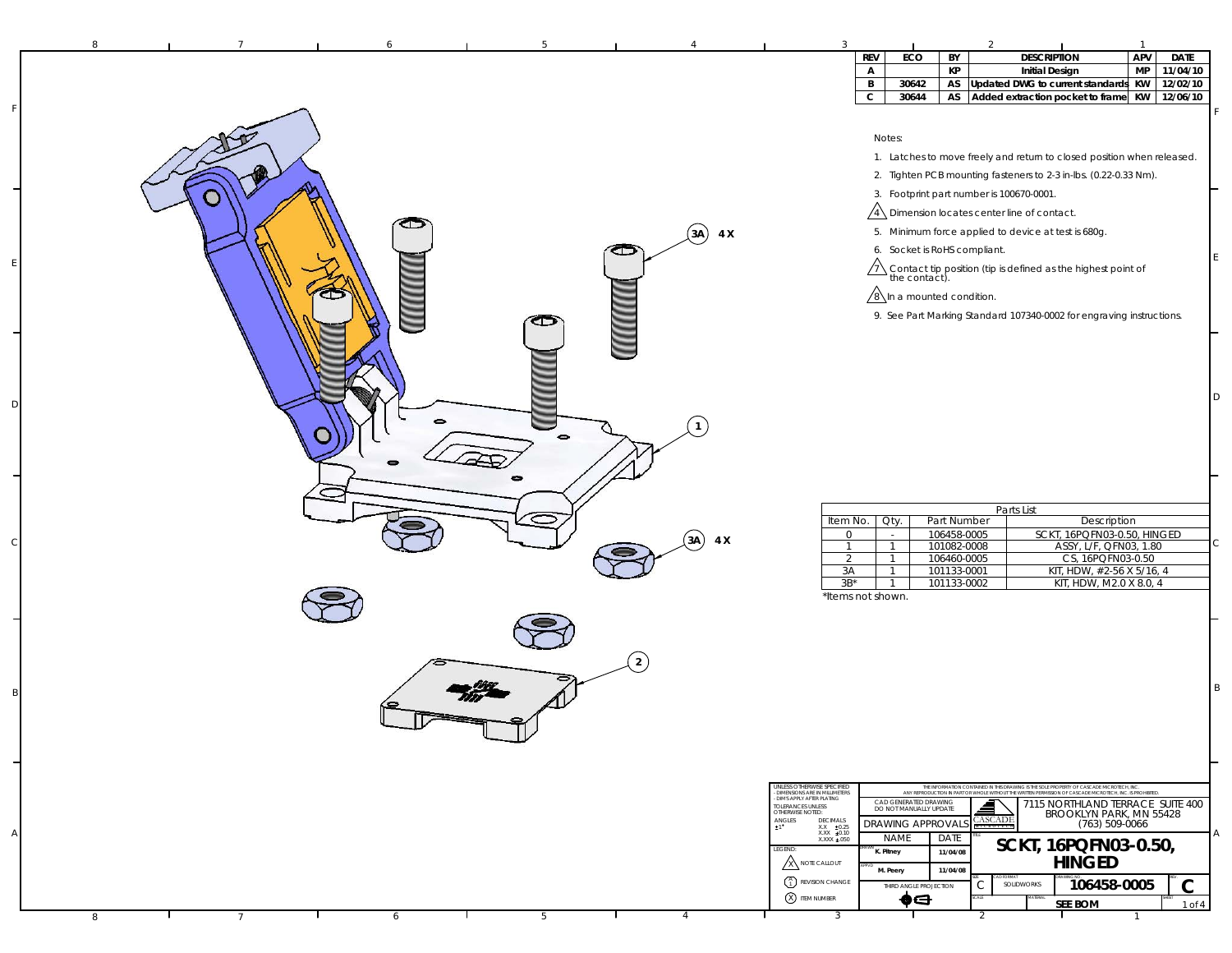| 8                    |        |                |                |            | 3                                                                                                                                                                                                                                                                                                                                                          |                   |                                                                                     |                                                                                        |                                                                                                                                                                                                                                                                                                                                                                                                                                                                        | $\overline{1}$                                                                                                     |                       |
|----------------------|--------|----------------|----------------|------------|------------------------------------------------------------------------------------------------------------------------------------------------------------------------------------------------------------------------------------------------------------------------------------------------------------------------------------------------------------|-------------------|-------------------------------------------------------------------------------------|----------------------------------------------------------------------------------------|------------------------------------------------------------------------------------------------------------------------------------------------------------------------------------------------------------------------------------------------------------------------------------------------------------------------------------------------------------------------------------------------------------------------------------------------------------------------|--------------------------------------------------------------------------------------------------------------------|-----------------------|
|                      |        |                |                |            |                                                                                                                                                                                                                                                                                                                                                            | <b>REV</b>        | ECO                                                                                 | BY                                                                                     | <b>DESCRIPTION</b>                                                                                                                                                                                                                                                                                                                                                                                                                                                     | APV                                                                                                                | <b>DATE</b>           |
|                      |        |                |                |            |                                                                                                                                                                                                                                                                                                                                                            | $\mathsf{A}$<br>B | 30642                                                                               | KP<br>AS                                                                               | <b>Initial Design</b><br>Updated DWG to current standards KW                                                                                                                                                                                                                                                                                                                                                                                                           | MP                                                                                                                 | 11/04/10<br>12/02/10  |
|                      |        |                |                |            |                                                                                                                                                                                                                                                                                                                                                            | $\mathbf c$       | 30644                                                                               |                                                                                        | AS Added extraction pocket to frame KW 12/06/10                                                                                                                                                                                                                                                                                                                                                                                                                        |                                                                                                                    |                       |
|                      | ౌ<br>8 | D<br>$\bullet$ | σ              | $(3A)$ 4 X |                                                                                                                                                                                                                                                                                                                                                            | Notes:            | 6. Socket is RoHS compliant.<br>$\sqrt{8}$ In a mounted condition.                  |                                                                                        | 1. Latches to move freely and return to closed position when released.<br>2. Tighten PCB mounting fasteners to 2-3 in-lbs. (0.22-0.33 Nm).<br>3. Footprint part number is 100670-0001.<br>$\sqrt{4}$ Dimension locates center line of contact.<br>5. Minimum force applied to device at test is 680g.<br>$\sqrt{1}$ Contact tip position (tip is defined as the highest point of the contact).<br>9. See Part Marking Standard 107340-0002 for engraving instructions. |                                                                                                                    |                       |
|                      |        |                | (3A)           | 4 X        | Item No.<br>0<br>$\mathbf{1}$<br>2<br>3A<br>$3B^*$<br>*Items not shown.                                                                                                                                                                                                                                                                                    |                   | Oty.<br>$\sim$<br>$\mathbf{1}$<br>$\overline{1}$<br>$\overline{1}$<br>$\mathbf{1}$  | Part Number<br>106458-0005<br>101082-0008<br>106460-0005<br>101133-0001<br>101133-0002 | Parts List<br>SCKT, 16PQFN03-0.50, HINGED                                                                                                                                                                                                                                                                                                                                                                                                                              | Description<br>ASSY, L/F, QFN03, 1.80<br>CS, 16PQFN03-0.50<br>KIT, HDW, #2-56 X 5/16, 4<br>KIT, HDW, M2.0 X 8.0, 4 |                       |
|                      |        |                | $\overline{2}$ |            |                                                                                                                                                                                                                                                                                                                                                            |                   |                                                                                     |                                                                                        |                                                                                                                                                                                                                                                                                                                                                                                                                                                                        |                                                                                                                    |                       |
|                      |        |                |                |            | UNLESS OTHERWISE SPECIFIED<br>- DIMENSIONS ARE IN MILLIMETERS<br>- DIMENSIONS ARE IN MILLIMETERS<br>TOLERANCES UNLESS<br>OTHERWISE NOTED:<br>$\mathop{\hbox{ANGLES}}_{\pm 1}$<br>DECIMALS<br>$\begin{array}{r@{\hspace{1cm}}l} \text{X.X} & \pm 0.25 \\ \text{X.XX} & \pm 0.10 \\ \text{X.XXX} & \pm .050 \end{array}$<br>LEGEND:<br><b>X NOTE CALLOUT</b> | K. Pitney         | CAD GENERATED DRAWING<br>DO NOT MANUALLY UPDATE<br>DRAWING APPROVAL!<br><b>NAME</b> | DATE<br>11/04/08<br>11/04/08                                                           | THE INFORMATION CONTAINED IN THIS DRAWING IS THE SOLE PROPERTY OF CASCADE MICROTECH, INC.<br>ANY REPRODUCTION IN PART OR WHOLE WITHOUT THE WRITTEN PERMISSION OF CASCADE MICROTECH, INC. IS PROHIBITED<br>7115 NORTHLAND TERRACE SUITE 400<br><b>CASCADE</b><br>SCKT, 16PQFN03-0.50,<br>HINGED                                                                                                                                                                         | BROOKLYN PARK, MN 55428<br>(763) 509-0066                                                                          |                       |
| 8<br>$7\phantom{.0}$ | 6      | 5              | 4              |            | $\begin{pmatrix} A \\ 1 \end{pmatrix}$ REVISION CHANGE<br>X ITEM NUMBER<br>$\overline{3}$                                                                                                                                                                                                                                                                  |                   | M. Peery<br>THIRD ANGLE PROJECTION<br>♦⋳                                            |                                                                                        | SOLIDWORKS<br>С<br><b>SEE BOM</b><br>2                                                                                                                                                                                                                                                                                                                                                                                                                                 | 106458-0005                                                                                                        | $\mathbf C$<br>1 of 4 |

F

E

D

 $\epsilon$ 

B

A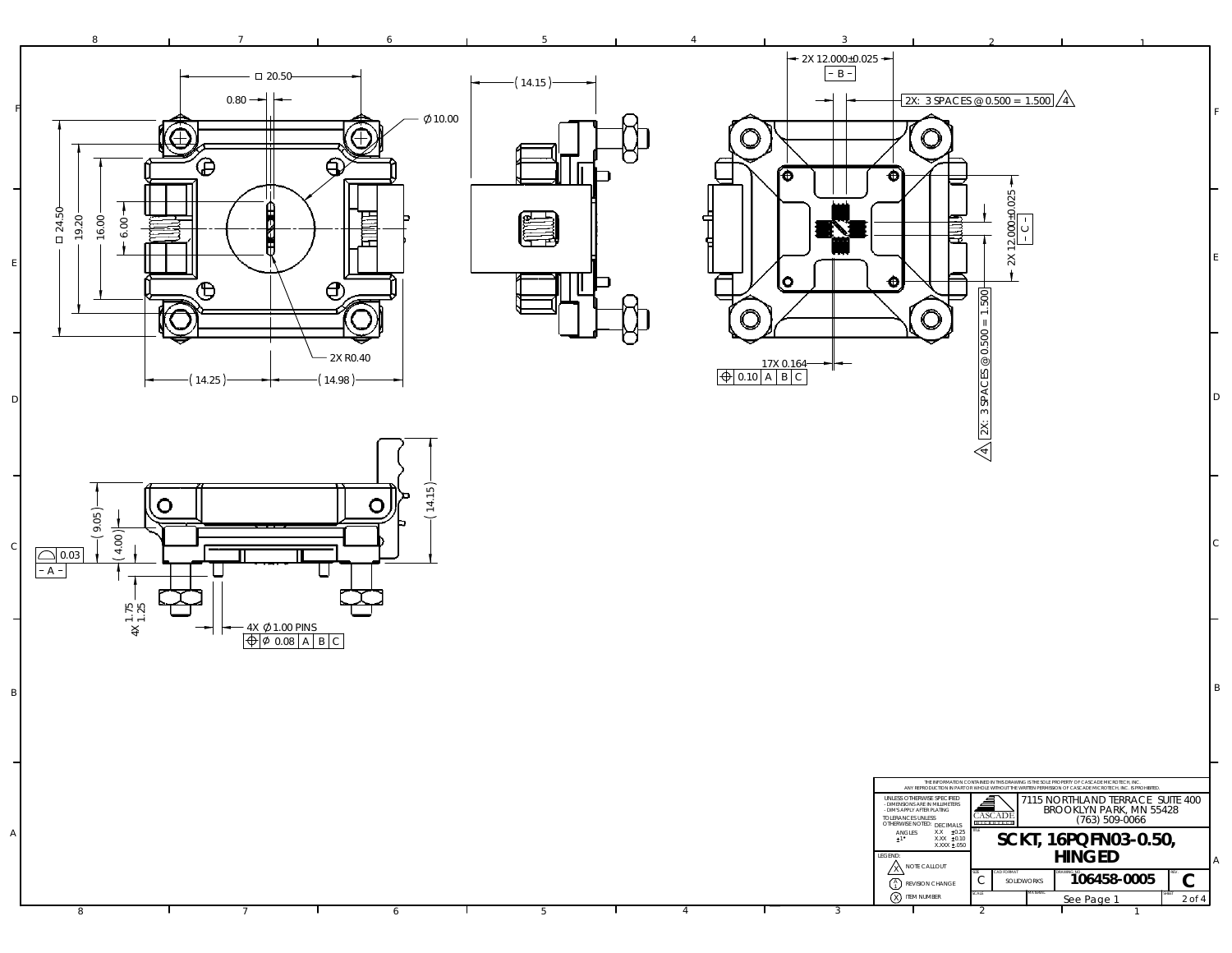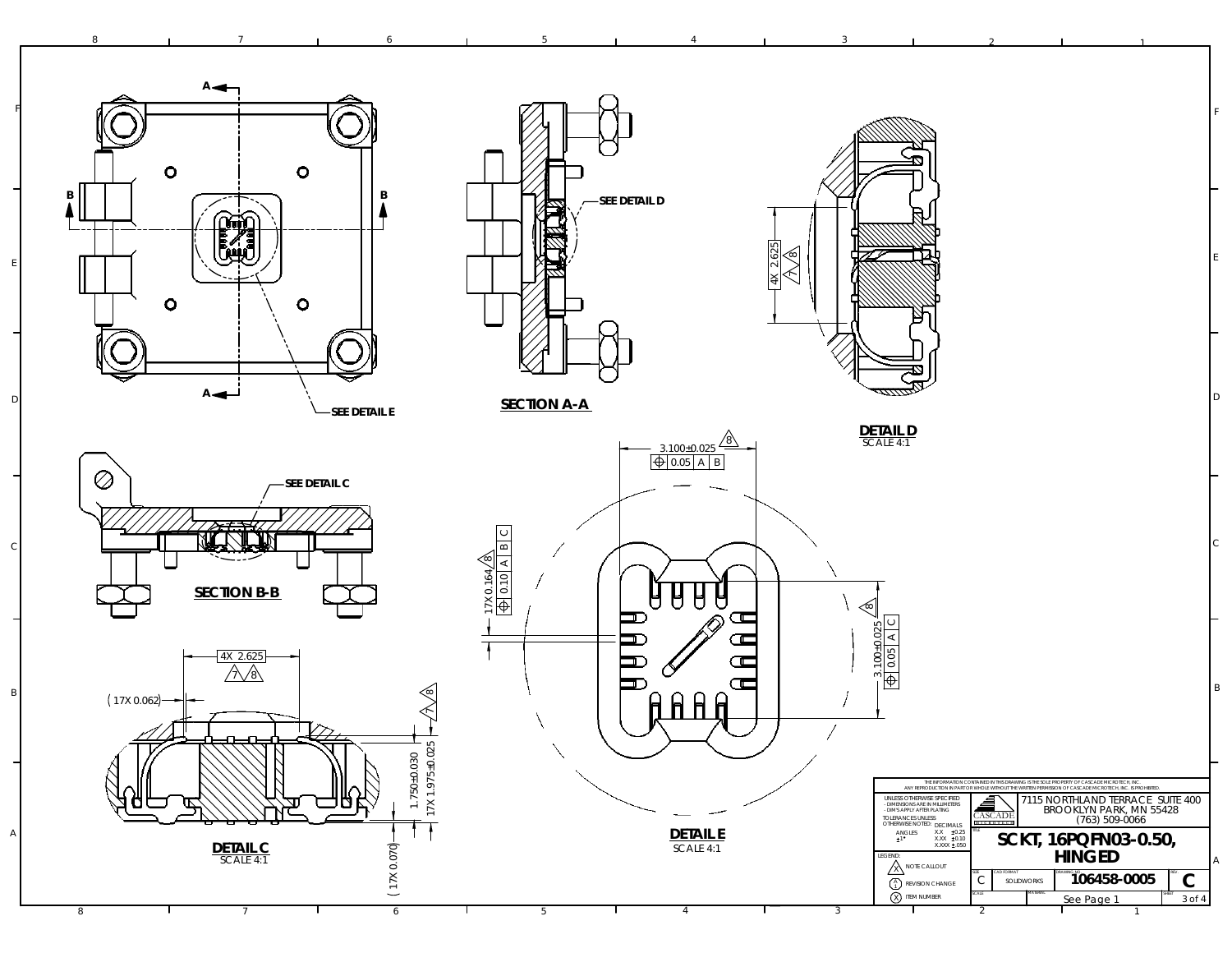